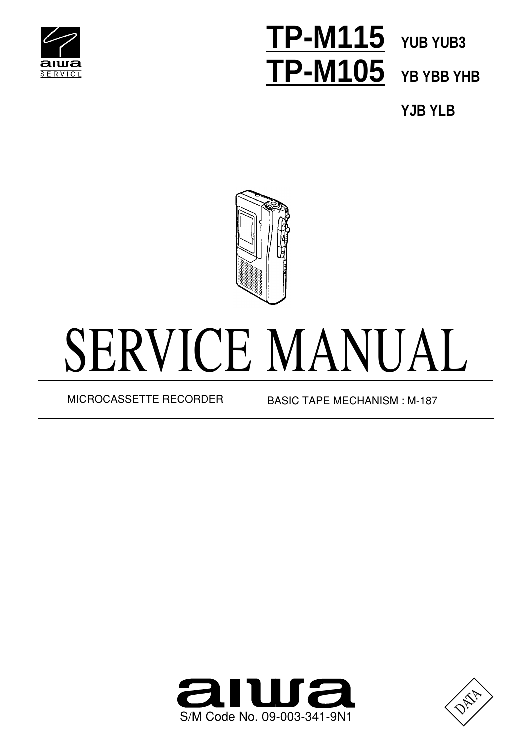

# **TP-M115 YUB YUB3 TP-M105**

**YB YBB YHB**

**YJB YLB**



# SERVICE MANUAL

MICROCASSETTE RECORDER BASIC TAPE MECHANISM : M-187



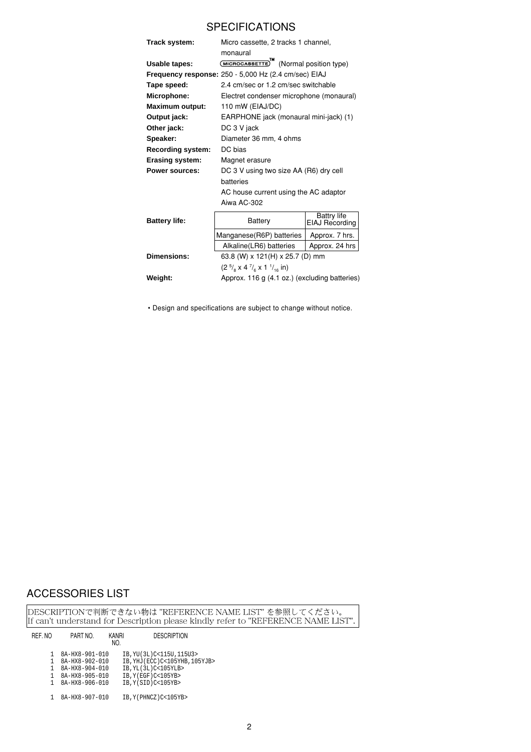## **SPECIFICATIONS**

| Track system:            | Micro cassette, 2 tracks 1 channel,<br>monaural      |                                                     |  |  |  |  |
|--------------------------|------------------------------------------------------|-----------------------------------------------------|--|--|--|--|
| Usable tapes:            |                                                      | (MICROCASSETTE) <sup>M</sup> (Normal position type) |  |  |  |  |
|                          | Frequency response: 250 - 5,000 Hz (2.4 cm/sec) EIAJ |                                                     |  |  |  |  |
| Tape speed:              | 2.4 cm/sec or 1.2 cm/sec switchable                  |                                                     |  |  |  |  |
| Microphone:              | Electret condenser microphone (monaural)             |                                                     |  |  |  |  |
| <b>Maximum output:</b>   | 110 mW (EIAJ/DC)                                     |                                                     |  |  |  |  |
| Output jack:             | EARPHONE jack (monaural mini-jack) (1)               |                                                     |  |  |  |  |
| Other jack:              | DC 3 V jack                                          |                                                     |  |  |  |  |
| Speaker:                 | Diameter 36 mm, 4 ohms                               |                                                     |  |  |  |  |
| <b>Recording system:</b> | DC bias                                              |                                                     |  |  |  |  |
| <b>Erasing system:</b>   | Magnet erasure                                       |                                                     |  |  |  |  |
| Power sources:           | DC 3 V using two size AA (R6) dry cell               |                                                     |  |  |  |  |
|                          | batteries                                            |                                                     |  |  |  |  |
|                          | AC house current using the AC adaptor                |                                                     |  |  |  |  |
|                          | Aiwa AC-302                                          |                                                     |  |  |  |  |
| <b>Battery life:</b>     | Battery                                              | <b>Battry life</b><br>EIAJ Recording                |  |  |  |  |
|                          | Manganese (R6P) batteries<br>Approx. 7 hrs.          |                                                     |  |  |  |  |
|                          | Alkaline(LR6) batteries                              | Approx. 24 hrs                                      |  |  |  |  |
| Dimensions:              | 63.8 (W) x 121(H) x 25.7 (D) mm                      |                                                     |  |  |  |  |
|                          | $(25/8 x 47/6 x 11/16 in)$                           |                                                     |  |  |  |  |

Weight: Approx. 116 g (4.1 oz.) (excluding batteries)

• Design and specifications are subject to change without notice.

# ACCESSORIES LIST

DESCRIPTIONで判断できない物は "REFERENCE NAME LIST" を参照してください。<br>If can't understand for Description please kindly refer to "REFERENCE NAME LIST".

| REF. NO | PART NO.       | <b>KANRI</b><br>NO. | <b>DESCRIPTION</b>              |
|---------|----------------|---------------------|---------------------------------|
|         | 8A-HX8-901-010 |                     | IB, YU(3L)C<115U, 115U3>        |
|         | 8A-HX8-902-010 |                     | IB, YHJ (ECC) C<105YHB, 105YJB> |
|         | 8A-HX8-904-010 |                     | IB, YL(3L)C<105YLB>             |
|         | 8A-HX8-905-010 |                     | IB, Y(EGF)C<105YB>              |
|         | 8A-HX8-906-010 |                     | IB, Y(SID)C<105YB>              |
|         | 8A-HX8-907-010 |                     | IB, Y (PHNCZ) C<105YB>          |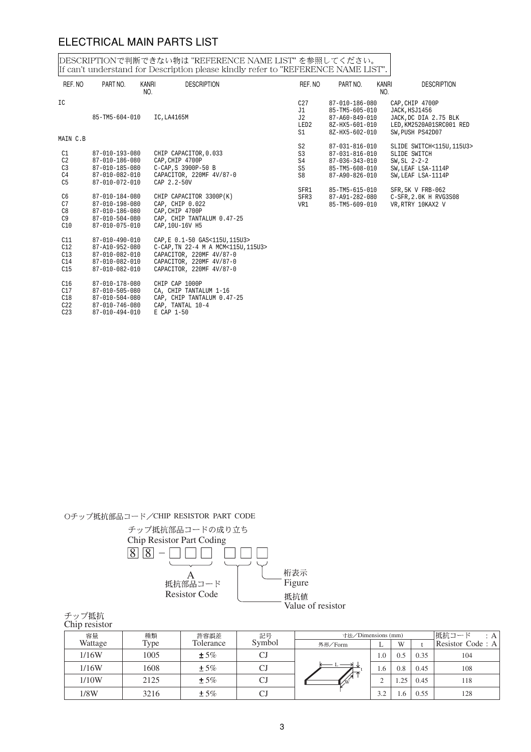#### ELECTRICAL MAIN PARTS LIST

DESCRIPTIONで判断できない物は "REFERENCE NAME LIST" を参照してください。<br>If can't understand for Description please kindly refer to "REFERENCE NAME LIST".

| REF. NO                          | PART NO.                                         | KANRI<br>NO. | <b>DESCRIPTION</b>                                                    | REF. NO              | PART NO.                                           | KANRI<br>NO. | <b>DESCRIPTION</b>                                                   |
|----------------------------------|--------------------------------------------------|--------------|-----------------------------------------------------------------------|----------------------|----------------------------------------------------|--------------|----------------------------------------------------------------------|
| IC                               |                                                  |              |                                                                       | C27<br>J1            | 87-010-186-080<br>$85 - TM5 - 605 - 010$           |              | CAP.CHIP 4700P<br>JACK, HSJ1456                                      |
|                                  | 85-TM5-604-010                                   |              | IC, LA4165M                                                           | J2<br>LED2<br>S1     | 87-A60-849-010<br>8Z-HX5-601-010<br>8Z-HX5-602-010 |              | JACK, DC DIA 2.75 BLK<br>LED, KM2520A01SRC001 RED<br>SW.PUSH PS42D07 |
| MAIN C.B                         |                                                  |              |                                                                       |                      |                                                    |              |                                                                      |
| C1                               | 87-010-193-080                                   |              | CHIP CAPACITOR, 0.033                                                 | S <sub>2</sub><br>S3 | 87-031-816-010<br>87-031-816-010                   |              | SLIDE SWITCH<115U, 115U3><br>SLIDE SWITCH                            |
| C2                               | 87-010-186-080                                   |              | CAP.CHIP 4700P                                                        | S4                   | 87-036-343-010                                     |              | $SW.SL$ $2-2-2$                                                      |
| C <sub>3</sub>                   | 87-010-185-080                                   |              | C-CAP.S 3900P-50 B                                                    | S <sub>5</sub>       | 85-TM5-608-010                                     |              | SW, LEAF LSA-1114P                                                   |
| C <sub>4</sub><br>C <sub>5</sub> | 87-010-082-010<br>$87 - 010 - 072 - 010$         |              | CAPACITOR, 220MF 4V/87-0<br>$CAP$ $2.2-50V$                           | S <sub>8</sub>       | 87-A90-826-010                                     |              | SW.LEAF LSA-1114P                                                    |
|                                  |                                                  |              |                                                                       | SFR1                 | 85-TM5-615-010                                     |              | SFR.5K V FRB-062                                                     |
| C <sub>6</sub>                   | 87-010-184-080                                   |              | CHIP CAPACITOR 3300P(K)                                               | SFR3                 | 87-A91-282-080                                     |              | C-SFR, 2.0K H RVG3S08                                                |
| C7                               | 87-010-198-080<br>87-010-186-080                 |              | CAP, CHIP 0.022<br>CAP.CHIP 4700P                                     | VR1                  | 85-TM5-609-010                                     |              | VR, RTRY 10KAX2 V                                                    |
| C8<br>C9                         | 87-010-504-080                                   |              | CAP, CHIP TANTALUM 0.47-25                                            |                      |                                                    |              |                                                                      |
| C10                              | 87-010-075-010                                   |              | CAP, 10U-16V H5                                                       |                      |                                                    |              |                                                                      |
| C11<br>C12                       | $87 - 010 - 490 - 010$<br>87-A10-952-080         |              | CAP, E 0.1-50 GAS<115U, 115U3><br>C-CAP, TN 22-4 M A MCM<115U, 115U3> |                      |                                                    |              |                                                                      |
| C13                              | 87-010-082-010                                   |              | CAPACITOR, 220MF 4V/87-0                                              |                      |                                                    |              |                                                                      |
| C14                              | 87-010-082-010                                   |              | CAPACITOR, 220MF 4V/87-0                                              |                      |                                                    |              |                                                                      |
| C15                              | 87-010-082-010                                   |              | CAPACITOR, 220MF 4V/87-0                                              |                      |                                                    |              |                                                                      |
| C <sub>16</sub><br>017           | $87 - 010 - 178 - 080$<br>$87 - 010 - 505 - 080$ |              | CHIP CAP 1000P                                                        |                      |                                                    |              |                                                                      |

- C17 87-010-505-080 CA, CHIP TANTALUM 1-16 C18 87-010-504-080 CAP, CHIP TANTALUM 0.47-25
- C22 87-010-746-080 CAP, TANTAL 10-4 C17  $87-010-505-080$ <br>
C18  $87-010-504-080$ <br>
C22  $87-010-746-080$ <br>
C23  $87-010-494-010$ 
	-

Oチップ抵抗部品コード/CHIP RESISTOR PART CODE



| チップ抵抗         |
|---------------|
| Chip resistor |

| 容量      | 種類   | 許容誤差      | 記号     |                         | 寸法/Dimensions (mm) |     |      | 抵抗コード            |
|---------|------|-----------|--------|-------------------------|--------------------|-----|------|------------------|
| Wattage | Type | Tolerance | Symbol | 外形/Form                 | ∸                  | W   |      | Resistor Code: A |
| 1/16W   | 1005 | $± 5\%$   | CJ     |                         | 1.0                | 0.5 | 0.35 | 104              |
| 1/16W   | 1608 | $± 5\%$   | CJ     | - 512<br>$\overline{L}$ | 1.6                | 0.8 | 0.45 | 108              |
| 1/10W   | 2125 | $± 5\%$   | CJ     | $\sqrt{W}$              | ∸                  | .25 | 0.45 | 118              |
| 1/8W    | 3216 | $± 5\%$   | CJ     |                         | 3.2                | 1.6 | 0.55 | 128              |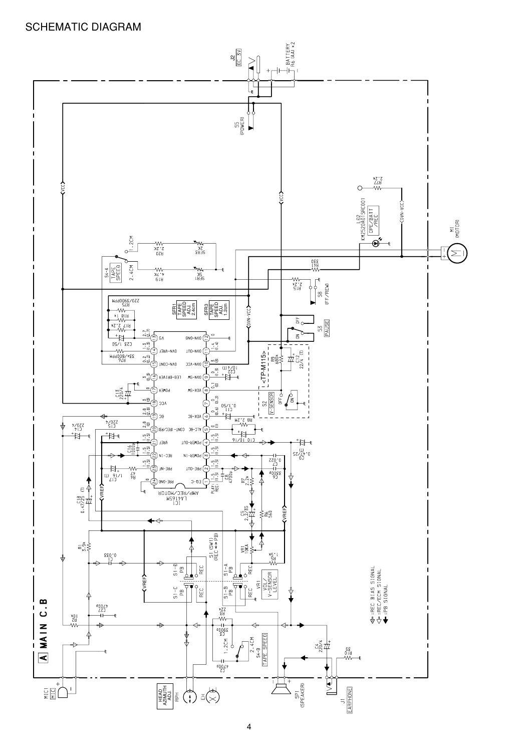#### SCHEMATIC DIAGRAM

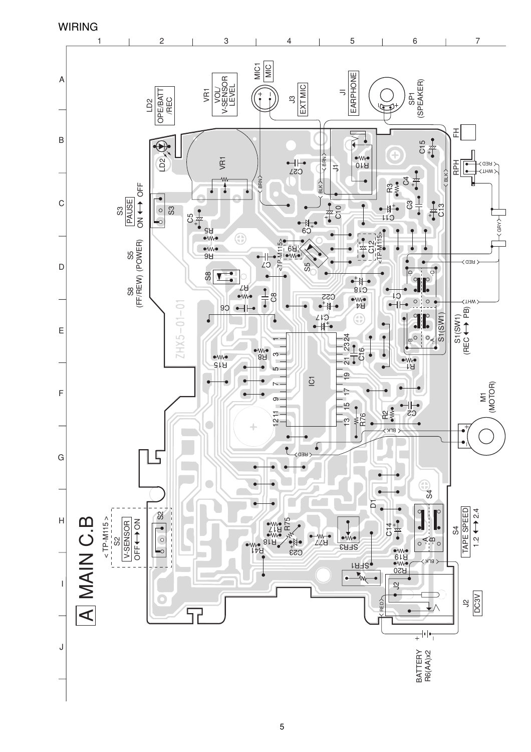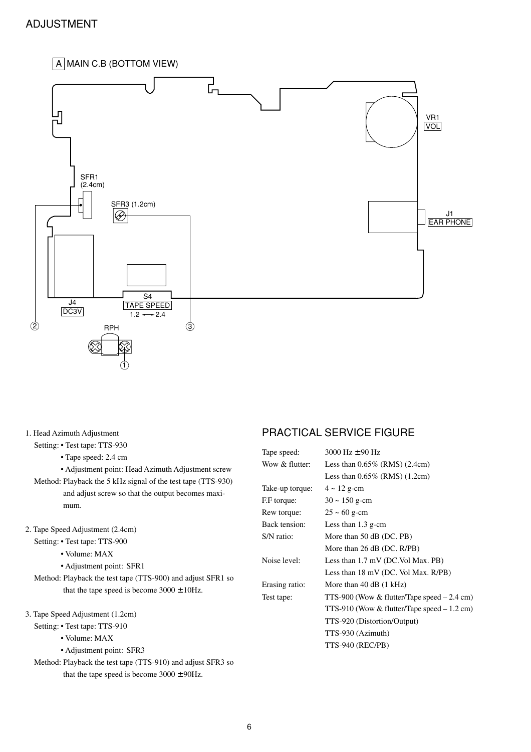#### ADJUSTMENT

#### $\boxed{A}$  MAIN C.B (BOTTOM VIEW)



1. Head Azimuth Adjustment

Setting: **•** Test tape: TTS-930

- Tape speed: 2.4 cm
- Adjustment point: Head Azimuth Adjustment screw

Method: Playback the 5 kHz signal of the test tape (TTS-930) and adjust screw so that the output becomes maximum.

- 2. Tape Speed Adjustment (2.4cm)
	- Setting: Test tape: TTS-900
		- Volume: MAX
		- Adjustment point: SFR1
	- Method: Playback the test tape (TTS-900) and adjust SFR1 so that the tape speed is become  $3000 \pm 10$ Hz.
- 3. Tape Speed Adjustment (1.2cm)
	- Setting: Test tape: TTS-910
		- Volume: MAX
		- Adjustment point: SFR3
	- Method: Playback the test tape (TTS-910) and adjust SFR3 so that the tape speed is become  $3000 \pm 90$ Hz.

#### PRACTICAL SERVICE FIGURE

| Tape speed:     | 3000 Hz $\pm$ 90 Hz                            |
|-----------------|------------------------------------------------|
| Wow & flutter:  | Less than $0.65\%$ (RMS) (2.4cm)               |
|                 | Less than $0.65\%$ (RMS) $(1.2cm)$             |
| Take-up torque: | $4 \sim 12$ g-cm                               |
| F.F torque:     | $30 \sim 150$ g-cm                             |
| Rew torque:     | $25 \sim 60$ g-cm                              |
| Back tension:   | Less than $1.3$ g-cm                           |
| S/N ratio:      | More than 50 dB (DC. PB)                       |
|                 | More than $26$ dB (DC. R/PB)                   |
| Noise level:    | Less than 1.7 mV (DC.Vol Max. PB)              |
|                 | Less than $18 \text{ mV}$ (DC. Vol Max. R/PB)  |
| Erasing ratio:  | More than $40$ dB $(1$ kHz)                    |
| Test tape:      | TTS-900 (Wow & flutter/Tape speed $-2.4$ cm)   |
|                 | TTS-910 (Wow $&$ flutter/Tape speed $-1.2$ cm) |
|                 | TTS-920 (Distortion/Output)                    |
|                 | TTS-930 (Azimuth)                              |
|                 | TTS-940 (REC/PB)                               |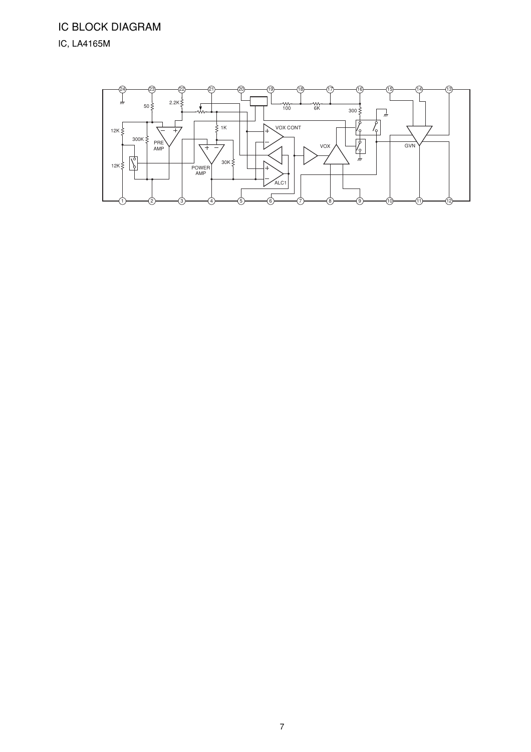# IC BLOCK DIAGRAM IC, LA4165M

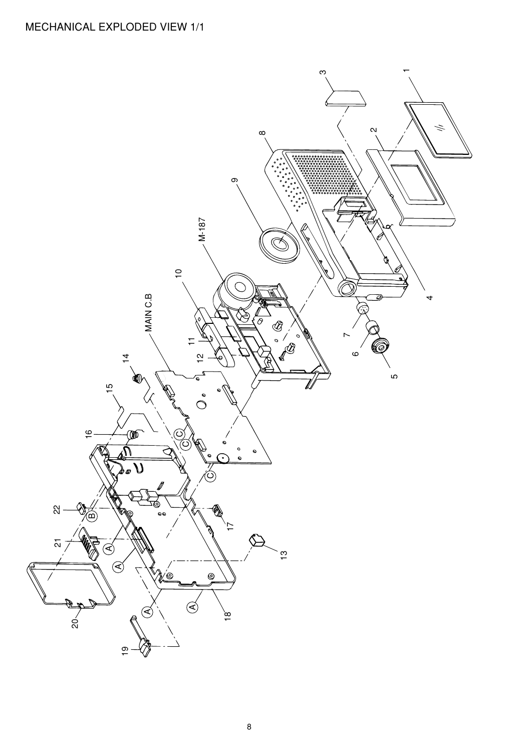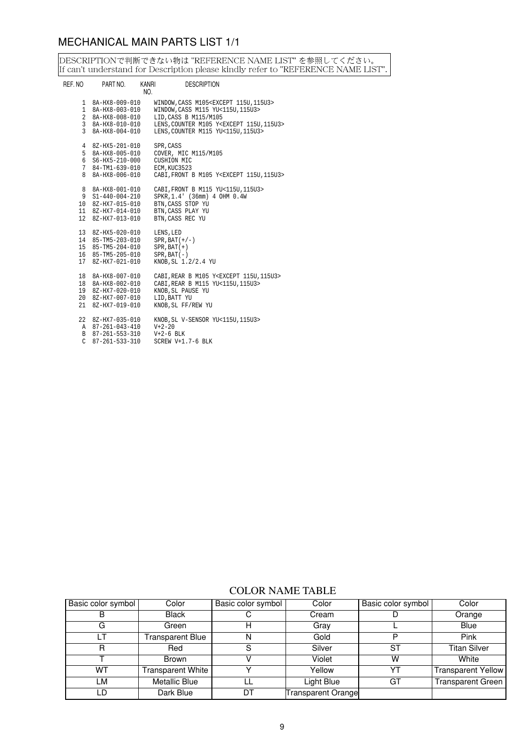# MECHANICAL MAIN PARTS LIST 1/1

DESCRIPTIONで判断できない物は "REFERENCE NAME LIST" を参照してください。<br>If can't understand for Description please kindly refer to "REFERENCE NAME LIST".

| REF. NO                                                    | PART NO.                                                                                             | Kanri<br><b>DESCRIPTION</b><br>NO.                                                                                                                                                                                                   |
|------------------------------------------------------------|------------------------------------------------------------------------------------------------------|--------------------------------------------------------------------------------------------------------------------------------------------------------------------------------------------------------------------------------------|
| 1<br>$\mathbf{1}$<br>$\overline{a}$<br>3<br>$\overline{3}$ | 8A-HX8-009-010<br>8A-HX8-003-010<br>8A-HX8-008-010<br>8A-HX8-010-010<br>8A-HX8-004-010               | WINDOW, CASS M105 <except 115u,="" 115u3=""><br/>WINDOW, CASS M115 YU&lt;115U, 115U3&gt;<br/>LID, CASS B M115/M105<br/>LENS, COUNTER M105 Y<except 115u,="" 115u3=""><br/>LENS, COUNTER M115 YU&lt;115U, 115U3&gt;</except></except> |
| $\overline{4}$<br>5<br>6<br>7<br>8                         | 8Z-HX5-201-010<br>8A-HX8-005-010<br>S6-HX5-210-000<br>84-TM1-639-010<br>8A-HX8-006-010               | SPR, CASS<br>COVER, MIC M115/M105<br>CUSHION MIC<br>ECM, KUC3523<br>CABI, FRONT B M105 Y <except 115u,="" 115u3=""></except>                                                                                                         |
| 8<br>9<br>12 <sup>°</sup>                                  | 8A-HX8-001-010<br>$S1 - 440 - 004 - 210$<br>10 8Z-HX7-015-010<br>11 8Z-HX7-014-010<br>8Z-HX7-013-010 | CABI, FRONT B M115 YU<115U, 115U3><br>SPKR, 1.4' (36mm) 4 OHM 0.4W<br>BTN, CASS STOP YU<br>BTN. CASS PLAY YU<br>BTN, CASS REC YU                                                                                                     |
| 13                                                         | 8Z-HX5-020-010<br>14 85-TM5-203-010<br>15 85-TM5-204-010<br>16 85-TM5-205-010<br>17 8Z-HX7-021-010   | LENS, LED<br>$SPR$ , $BAT (+/-)$<br>$SPR$ , $BAT (+)$<br>$SPR$ , $BAT(-)$<br>KNOB, SL 1.2/2.4 YU                                                                                                                                     |
| 18<br>18<br>19                                             | 8A-HX8-007-010<br>8A-HX8-002-010<br>8Z-HX7-020-010<br>20 8Z-HX7-007-010<br>21 8Z-HX7-019-010         | CABI, REAR B M105 Y <except 115u,="" 115u3=""><br/>CABI, REAR B M115 YU&lt;115U, 115U3&gt;<br/>KNOB, SL PAUSE YU<br/>LID, BATT YU<br/>KNOB, SL FF/REW YU</except>                                                                    |
| 22                                                         | 8Z-HX7-035-010<br>A 87-261-043-410<br>B 87-261-553-310<br>$C$ 87-261-533-310                         | KNOB, SL V-SENSOR YU<115U, 115U3><br>$V + 2 - 20$<br>$V+2-6$ BLK<br>SCREW V+1.7-6 BLK                                                                                                                                                |

#### COLOR NAME TABLE

| Basic color symbol | Color             | Basic color symbol | Color                     | Basic color symbol | Color                     |
|--------------------|-------------------|--------------------|---------------------------|--------------------|---------------------------|
|                    | <b>Black</b>      |                    | Cream                     |                    | Orange                    |
| G                  | Green             |                    | Grav                      |                    | Blue                      |
|                    | Transparent Blue  |                    | Gold                      | P                  | Pink                      |
| R                  | Red               |                    | Silver                    | ST                 | <b>Titan Silver</b>       |
|                    | Brown             |                    | Violet                    | w                  | White                     |
| WT.                | Transparent White |                    | Yellow                    | YT                 | <b>Transparent Yellow</b> |
| LM                 | Metallic Blue     |                    | Light Blue                | GT                 | <b>Transparent Green</b>  |
| LD                 | Dark Blue         | DT                 | <b>Transparent Orange</b> |                    |                           |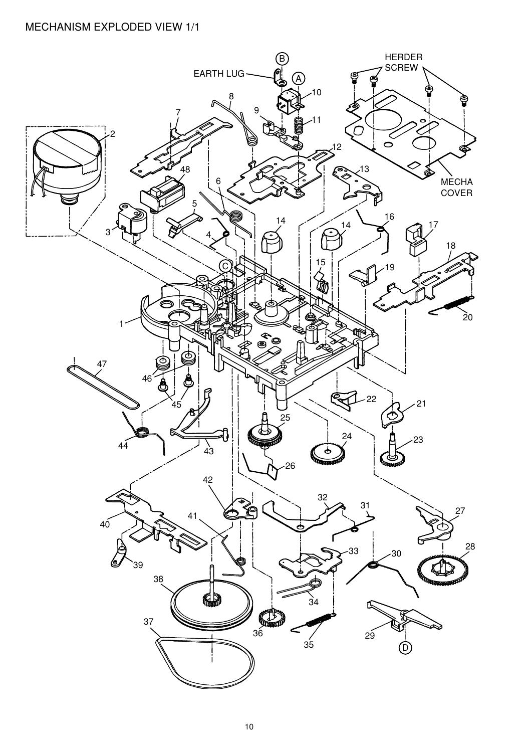## MECHANISM EXPLODED VIEW 1/1

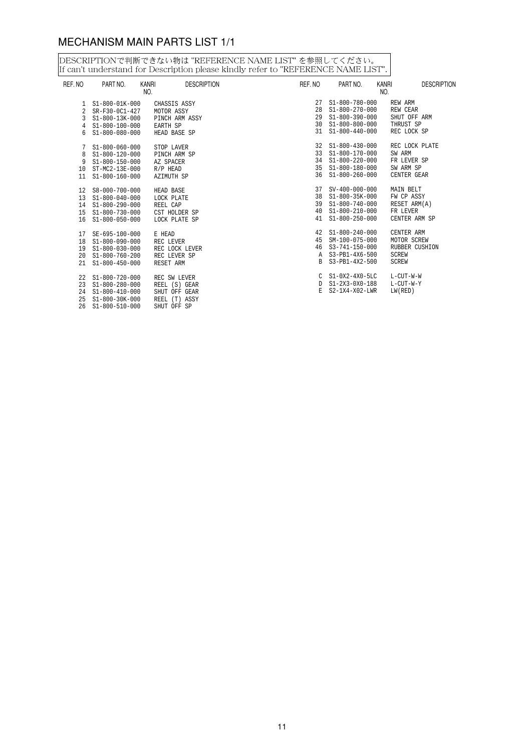# MECHANISM MAIN PARTS LIST 1/1

DESCRIPTIONで判断できない物は "REFERENCE NAME LIST" を参照してください。<br>If can't understand for Description please kindly refer to "REFERENCE NAME LIST".

| REF. NO | PART NO.                        | <b>DESCRIPTION</b><br><b>KANRI</b><br>NO. | REF. NO | PART NO.             | <b>DESCRIPTION</b><br>KANRI<br>NO. |
|---------|---------------------------------|-------------------------------------------|---------|----------------------|------------------------------------|
|         | 1 S1-800-01K-000                | CHASSIS ASSY                              |         | 27 S1-800-780-000    | REW ARM                            |
|         | 2 SR-F30-0C1-427                | MOTOR ASSY                                |         | 28 S1-800-270-000    | REW CEAR                           |
| 3       | S1-800-13K-000                  | PINCH ARM ASSY                            |         | 29 S1-800-390-000    | SHUT OFF ARM                       |
|         | 4 S1-800-100-000                | EARTH SP                                  |         | 30 S1-800-800-000    | THRUST SP                          |
| 6       | $S1 - 800 - 080 - 000$          | HEAD BASE SP                              |         | 31 S1-800-440-000    | REC LOCK SP                        |
|         | $7 S1 - 800 - 060 - 000$        | STOP LAVER                                |         | 32 S1-800-430-000    | REC LOCK PLATE                     |
| 8       | $S1 - 800 - 120 - 000$          | PINCH ARM SP                              |         | 33 S1-800-170-000    | SW ARM                             |
| 9       | S1-800-150-000                  | AZ SPACER                                 |         | 34 S1-800-220-000    | FR LEVER SP                        |
| 10      | ST-MC2-13E-000                  | R/P HEAD                                  |         | 35 S1-800-180-000    | SW ARM SP                          |
|         | 11 S1-800-160-000               | AZIMUTH SP                                |         | 36 S1-800-260-000    | CENTER GEAR                        |
|         | 12 S8-000-700-000               | HEAD BASE                                 |         | 37 SV-400-000-000    | MAIN BELT                          |
|         | $13 \quad S1 - 800 - 040 - 000$ | LOCK PLATE                                |         | 38 S1-800-35K-000    | FW CP ASSY                         |
|         | 14 S1-800-290-000               | REEL CAP                                  |         | 39 S1-800-740-000    | RESET ARM(A)                       |
| 15      | S1-800-730-000                  | CST HOLDER SP                             |         | 40 S1-800-210-000    | FR LEVER                           |
|         | 16 S1-800-050-000               | LOCK PLATE SP                             |         | 41<br>S1-800-250-000 | CENTER ARM SP                      |
|         | 17 SE-695-100-000               | E HEAD                                    |         | 42 S1-800-240-000    | CENTER ARM                         |
|         | 18 S1-800-090-000               | REC LEVER                                 |         | 45 SM-100-075-000    | MOTOR SCREW                        |
|         | 19 S1-800-030-000               | REC LOCK LEVER                            |         | 46 S3-741-150-000    | RUBBER CUSHION                     |
| 20      | $S1 - 800 - 760 - 200$          | REC LEVER SP                              |         | A S3-PB1-4X6-500     | SCREW                              |
| 21      | $S1 - 800 - 450 - 000$          | RESET ARM                                 |         | B S3-PB1-4X2-500     | <b>SCREW</b>                       |
|         | 22 S1-800-720-000               | REC SW LEVER                              |         | $C$ $S1-0X2-4X0-5LC$ | L-CUT-W-W                          |
| 23      | $S1 - 800 - 280 - 000$          | REEL (S) GEAR                             |         | D S1-2X3-0X0-188     | L-CUT-W-Y                          |
| 24      | S1-800-410-000                  | SHUT OFF GEAR                             |         | E S2-1X4-X02-LWR     | LW(RED)                            |
| 25      | $S1 - 800 - 30K - 000$          | REEL (T) ASSY                             |         |                      |                                    |
| 26      | $S1 - 800 - 510 - 000$          | SHUT OFF SP                               |         |                      |                                    |